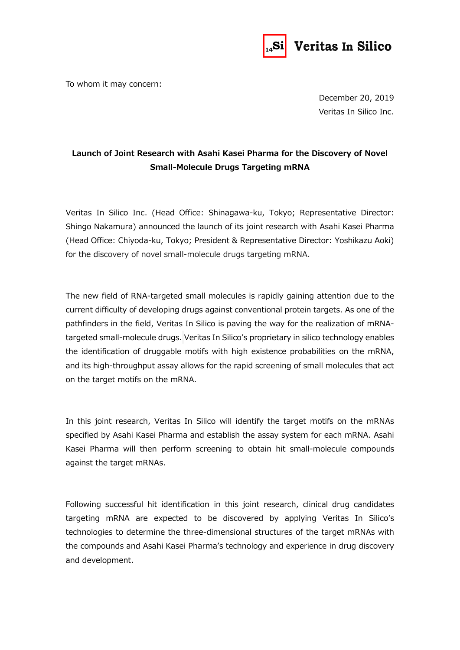

To whom it may concern:

December 20, 2019 Veritas In Silico Inc.

## **Launch of Joint Research with Asahi Kasei Pharma for the Discovery of Novel Small-Molecule Drugs Targeting mRNA**

Veritas In Silico Inc. (Head Office: Shinagawa-ku, Tokyo; Representative Director: Shingo Nakamura) announced the launch of its joint research with Asahi Kasei Pharma (Head Office: Chiyoda-ku, Tokyo; President & Representative Director: Yoshikazu Aoki) for the discovery of novel small-molecule drugs targeting mRNA.

The new field of RNA-targeted small molecules is rapidly gaining attention due to the current difficulty of developing drugs against conventional protein targets. As one of the pathfinders in the field, Veritas In Silico is paving the way for the realization of mRNAtargeted small-molecule drugs. Veritas In Silico's proprietary in silico technology enables the identification of druggable motifs with high existence probabilities on the mRNA, and its high-throughput assay allows for the rapid screening of small molecules that act on the target motifs on the mRNA.

In this joint research, Veritas In Silico will identify the target motifs on the mRNAs specified by Asahi Kasei Pharma and establish the assay system for each mRNA. Asahi Kasei Pharma will then perform screening to obtain hit small-molecule compounds against the target mRNAs.

Following successful hit identification in this joint research, clinical drug candidates targeting mRNA are expected to be discovered by applying Veritas In Silico's technologies to determine the three-dimensional structures of the target mRNAs with the compounds and Asahi Kasei Pharma's technology and experience in drug discovery and development.